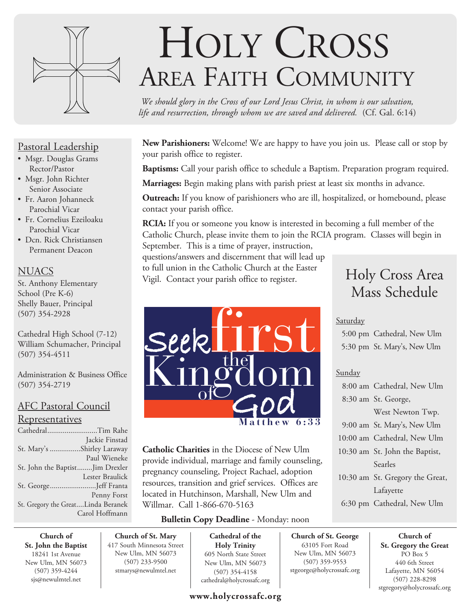

# Pastoral Leadership

- Msgr. Douglas Grams Rector/Pastor
- Msgr. John Richter Senior Associate
- Fr. Aaron Johanneck Parochial Vicar
- Fr. Cornelius Ezeiloaku Parochial Vicar
- Dcn. Rick Christiansen Permanent Deacon

# **NUACS**

St. Anthony Elementary School (Pre K-6) Shelly Bauer, Principal (507) 354-2928

Cathedral High School (7-12) William Schumacher, Principal (507) 354-4511

Administration & Business Office (507) 354-2719

# AFC Pastoral Council

#### Representatives

| CathedralTim Rahe                  |                 |
|------------------------------------|-----------------|
|                                    | Jackie Finstad  |
| St. Mary's Shirley Laraway         |                 |
|                                    | Paul Wieneke    |
| St. John the BaptistJim Drexler    |                 |
|                                    | Lester Braulick |
| St. GeorgeJeff Franta              |                 |
|                                    | Penny Forst     |
| St. Gregory the GreatLinda Beranek |                 |
|                                    | Carol Hoffmann  |

# HOLY CROSS AREA FAITH COMMUNITY

*We should glory in the Cross of our Lord Jesus Christ, in whom is our salvation, life and resurrection, through whom we are saved and delivered.* (Cf. Gal. 6:14)

**New Parishioners:** Welcome! We are happy to have you join us. Please call or stop by your parish office to register.

**Baptisms:** Call your parish office to schedule a Baptism. Preparation program required.

**Marriages:** Begin making plans with parish priest at least six months in advance.

**Outreach:** If you know of parishioners who are ill, hospitalized, or homebound, please contact your parish office.

**RCIA:** If you or someone you know is interested in becoming a full member of the Catholic Church, please invite them to join the RCIA program. Classes will begin in September. This is a time of prayer, instruction,

questions/answers and discernment that will lead up to full union in the Catholic Church at the Easter Vigil. Contact your parish office to register.



**Catholic Charities** in the Diocese of New Ulm provide individual, marriage and family counseling, pregnancy counseling, Project Rachael, adoption resources, transition and grief services. Offices are located in Hutchinson, Marshall, New Ulm and Willmar. Call 1-866-670-5163

# **Bulletin Copy Deadline** - Monday: noon

**Church of St. John the Baptist** 18241 1st Avenue New Ulm, MN 56073 (507) 359-4244 sjs@newulmtel.net

**Church of St. Mary** 417 South Minnesota Street New Ulm, MN 56073 (507) 233-9500 stmarys@newulmtel.net

**Cathedral of the Holy Trinity** 605 North State Street New Ulm, MN 56073 (507) 354-4158 cathedral@holycrossafc.org

# **www.holycrossafc.org**

# Holy Cross Area Mass Schedule

## Saturday

 5:00 pm Cathedral, New Ulm 5:30 pm St. Mary's, New Ulm

# Sunday

**Church of St. George** 63105 Fort Road New Ulm, MN 56073 (507) 359-9553 stgeorge@holycrossafc.org

| 8:00 am Cathedral, New Ulm      |
|---------------------------------|
| 8:30 am St. George,             |
| West Newton Twp.                |
| 9:00 am St. Mary's, New Ulm     |
| 10:00 am Cathedral, New Ulm     |
| 10:30 am St. John the Baptist,  |
| Searles                         |
| 10:30 am St. Gregory the Great, |
| Lafayette                       |
| 6:30 pm Cathedral, New Ulm      |

**Church of St. Gregory the Great**  PO Box 5 440 6th Street Lafayette, MN 56054 (507) 228-8298 stgregory@holycrossafc.org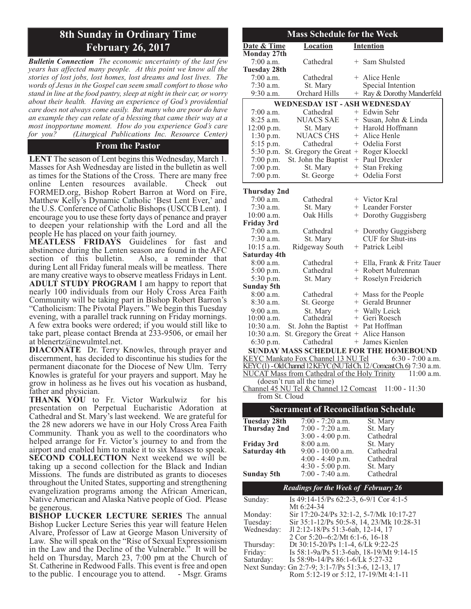# **8th Sunday in Ordinary Time February 26, 2017**

*Bulletin Connection The economic uncertainty of the last few years has affected many people. At this point we know all the stories of lost jobs, lost homes, lost dreams and lost lives. The words of Jesus in the Gospel can seem small comfort to those who stand in line at the food pantry, sleep at night in their car, or worry about their health. Having an experience of God's providential care does not always come easily. But many who are poor do have an example they can relate of a blessing that came their way at a most inopportune moment. How do you experience God's care for you? (Liturgical Publications Inc. Resource Center)*

#### **From the Pastor**

**LENT** The season of Lent begins this Wednesday, March 1. Masses for Ash Wednesday are listed in the bulletin as well as times for the Stations of the Cross. There are many free online Lenten resources available. Check out FORMED.org, Bishop Robert Barron at Word on Fire, Matthew Kelly's Dynamic Catholic 'Best Lent Ever,' and the U.S. Conference of Catholic Bishops (USCCB Lent). I encourage you to use these forty days of penance and prayer to deepen your relationship with the Lord and all the people He has placed on your faith journey.

**MEATLESS FRIDAYS** Guidelines for fast and abstinence during the Lenten season are found in the AFC<br>section of this bulletin. Also, a reminder that section of this bulletin. during Lent all Friday funeral meals will be meatless. There are many creative ways to observe meatless Fridays in Lent. **ADULT STUDY PROGRAM** I am happy to report that nearly 100 individuals from our Holy Cross Area Faith Community will be taking part in Bishop Robert Barron's "Catholicism: The Pivotal Players." We begin this Tuesday evening, with a parallel track running on Friday mornings. A few extra books were ordered; if you would still like to take part, please contact Brenda at 233-9506, or email her at blenertz@newulmtel.net.

**DIACONATE** Dr. Terry Knowles, through prayer and discernment, has decided to discontinue his studies for the permanent diaconate for the Diocese of New Ulm. Terry Knowles is grateful for your prayers and support. May he grow in holiness as he lives out his vocation as husband, father and physician.

**THANK YOU** to Fr. Victor Warkulwiz for his presentation on Perpetual Eucharistic Adoration at Cathedral and St. Mary's last weekend. We are grateful for the 28 new adorers we have in our Holy Cross Area Faith Community. Thank you as well to the coordinators who helped arrange for Fr. Victor's journey to and from the airport and enabled him to make it to six Masses to speak. **SECOND COLLECTION** Next weekend we will be taking up a second collection for the Black and Indian Missions. The funds are distributed as grants to dioceses throughout the United States, supporting and strengthening evangelization programs among the African American, Native American and Alaska Native people of God. Please be generous.

**BISHOP LUCKER LECTURE SERIES** The annual Bishop Lucker Lecture Series this year will feature Helen Alvare, Professor of Law at George Mason University of Law. She will speak on the "Rise of Sexual Expressionism in the Law and the Decline of the Vulnerable." It will be held on Thursday, March 23, 7:00 pm at the Church of St. Catherine in Redwood Falls. This event is free and open to the public. I encourage you to attend. - Msgr. Grams to the public. I encourage you to attend.

| <b>Mass Schedule for the Week</b>             |                     |                                           |     |                                                                      |
|-----------------------------------------------|---------------------|-------------------------------------------|-----|----------------------------------------------------------------------|
|                                               | Date & Time         | <b>Location</b>                           |     | <b>Intention</b>                                                     |
|                                               | <b>Monday 27th</b>  |                                           |     |                                                                      |
|                                               | $7:00$ a.m.         | Cathedral                                 |     | + Sam Shulsted                                                       |
|                                               | <b>Tuesday 28th</b> |                                           |     |                                                                      |
|                                               | $7:00$ a.m.         | Cathedral                                 |     | + Alice Henle                                                        |
|                                               | $7:30$ a.m.         | St. Mary                                  |     | Special Intention                                                    |
|                                               | $9:30$ a.m.         | <b>Orchard Hills</b>                      |     | + Ray & Dorothy Manderfeld                                           |
|                                               |                     | <b>WEDNESDAY 1ST - ASH WEDNESDAY</b>      |     |                                                                      |
|                                               | $7:00$ a.m.         | Cathedral                                 |     | + Edwin Sehr                                                         |
|                                               | $8:25$ a.m.         | <b>NUACS SAE</b>                          |     | + Susan, John & Linda                                                |
|                                               | 12:00 p.m.          | St. Mary                                  |     | + Harold Hoffmann                                                    |
|                                               | $1:30$ p.m.         | <b>NUACS CHS</b>                          |     | + Alice Henle                                                        |
|                                               | 5:15 p.m.           | Cathedral                                 |     | + Odelia Forst                                                       |
|                                               | 5:30 p.m.           | St. Gregory the Great + Roger Kloeckl     |     |                                                                      |
|                                               | $7:00$ p.m.         | St. John the Baptist                      |     | + Paul Drexler                                                       |
|                                               | 7:00 p.m.           | St. Mary                                  |     | + Stan Freking                                                       |
|                                               | $7:00$ p.m.         | St. George                                |     | + Odelia Forst                                                       |
|                                               |                     |                                           |     |                                                                      |
|                                               | <b>Thursday 2nd</b> |                                           |     |                                                                      |
|                                               | $7:00$ a.m.         | Cathedral                                 |     | + Victor Kral                                                        |
|                                               | $7:30$ a.m.         | St. Mary                                  |     | + Leander Forster                                                    |
|                                               | $10:00$ a.m.        | Oak Hills                                 |     | + Dorothy Guggisberg                                                 |
| <b>Friday 3rd</b>                             |                     |                                           |     |                                                                      |
|                                               | $7:00$ a.m.         | Cathedral                                 |     | + Dorothy Guggisberg                                                 |
|                                               | 7:30 a.m.           | St. Mary                                  |     | CUF for Shut-ins                                                     |
|                                               | $10:15$ a.m.        | Ridgeway South                            |     | + Patrick Leibl                                                      |
|                                               | <b>Saturday 4th</b> |                                           |     |                                                                      |
|                                               | $8:00$ a.m.         | Cathedral                                 |     | + Ella, Frank & Fritz Tauer                                          |
|                                               | 5:00 p.m.           | Cathedral                                 |     | + Robert Mulrennan                                                   |
|                                               | 5:30 p.m.           | St. Mary                                  |     | + Roselyn Freiderich                                                 |
| <b>Sunday 5th</b>                             |                     |                                           |     |                                                                      |
|                                               | 8:00 a.m.           | Cathedral                                 |     | + Mass for the People                                                |
|                                               | $8:30$ a.m.         | St. George                                |     | + Gerald Brunner                                                     |
|                                               | $9:00$ a.m.         | St. Mary                                  |     | + Wally Leick                                                        |
|                                               | $10:00$ a.m.        | Cathedral                                 |     | + Geri Roesch                                                        |
|                                               | $10:30$ a.m.        | St. John the Baptist                      |     | + Pat Hoffman                                                        |
|                                               | $10:30$ a.m.        | St. Gregory the Great + Alice Hanson      |     |                                                                      |
|                                               | 6:30 p.m.           | Cathedral                                 | $+$ | James Kienlen                                                        |
| <b>SUNDAY MASS SCHEDULE FOR THE HOMEBOUND</b> |                     |                                           |     |                                                                      |
|                                               |                     | <b>KEYC Mankato Fox Channel 13 NU Tel</b> |     | $6:30 - 7:00$ a.m.                                                   |
|                                               |                     |                                           |     | KEYC(1) - Old Channel 12 KEYC (NUTel Ch. 12/Comcast Ch. 6) 7:30 a.m. |

NUCAT Mass from Cathedral of the Holy Trinity 11:00 a.m. (doesn't run all the time) Channel 45 NU Tel & Channel 12 Comcast 11:00 - 11:30 from St. Cloud

|                     | <b>Sacrament of Reconciliation Schedule</b>       |           |  |
|---------------------|---------------------------------------------------|-----------|--|
| <b>Tuesday 28th</b> | $7:00 - 7:20$ a.m.                                | St. Mary  |  |
| Thursday 2nd        | $7:00 - 7:20$ a.m.                                | St. Mary  |  |
|                     | $3:00 - 4:00$ p.m.                                | Cathedral |  |
| Friday 3rd          | $8:00$ a.m.                                       | St. Mary  |  |
| Saturday 4th        | $9:00 - 10:00$ a.m.                               | Cathedral |  |
|                     | $4:00 - 4:40$ p.m.                                | Cathedral |  |
|                     | $4:30 - 5:00$ p.m.                                | St. Mary  |  |
| Sunday 5th          | $7:00 - 7:40$ a.m.                                | Cathedral |  |
|                     | <b>Readings for the Week of February 26</b>       |           |  |
| Sunday:             | Is 49:14-15/Ps 62:2-3, 6-9/1 Cor 4:1-5            |           |  |
|                     | Mt 6:24-34                                        |           |  |
| Monday:             | Sir 17:20-24/Ps 32:1-2, 5-7/Mk 10:17-27           |           |  |
| Tuesday:            | Sir 35:1-12/Ps 50:5-8, 14, 23/Mk 10:28-31         |           |  |
| Wednesday:          | Jl 2:12-18/Ps 51:3-6ab, 12-14, 17                 |           |  |
|                     | 2 Cor 5:20--6:2/Mt 6:1-6, 16-18                   |           |  |
| Thursday:           | Dt 30:15-20/Ps 1:1-4, 6/Lk 9:22-25                |           |  |
| Friday:             | Is 58:1-9a/Ps 51:3-6ab, 18-19/Mt 9:14-15          |           |  |
| Saturday:           | Is $58:9b-14/Ps 86:1-6/Lk 5:27-32$                |           |  |
|                     | Next Sunday: Gn 2:7-9; 3:1-7/Ps 51:3-6, 12-13, 17 |           |  |
|                     | Rom 5:12-19 or 5:12, 17-19/Mt 4:1-11              |           |  |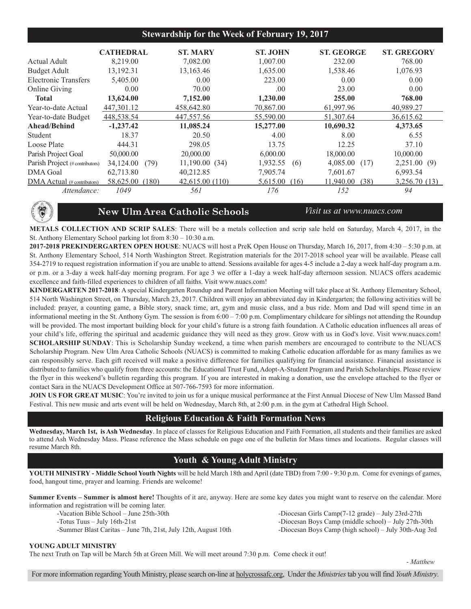#### **Stewardship for the Week of February 19, 2017**

|                                 | <b>CATHEDRAL</b>   | <b>ST. MARY</b> | <b>ST. JOHN</b>  | <b>ST. GEORGE</b> | <b>ST. GREGORY</b> |
|---------------------------------|--------------------|-----------------|------------------|-------------------|--------------------|
| Actual Adult                    | 8.219.00           | 7,082.00        | 1,007.00         | 232.00            | 768.00             |
| <b>Budget Adult</b>             | 13,192.31          | 13,163.46       | 1,635.00         | 1,538.46          | 1,076.93           |
| Electronic Transfers            | 5,405.00           | 0.00            | 223.00           | 0.00              | 0.00               |
| <b>Online Giving</b>            | 0.00               | 70.00           | .00.             | 23.00             | 0.00               |
| <b>Total</b>                    | 13,624.00          | 7,152.00        | 1,230.00         | 255.00            | 768.00             |
| Year-to-date Actual             | 447,301.12         | 458,642.80      | 70,867.00        | 61,997.96         | 40.989.27          |
| Year-to-date Budget             | 448,538.54         | 447,557.56      | 55,590.00        | 51,307.64         | 36,615.62          |
| Ahead/Behind                    | $-1,237.42$        | 11,085.24       | 15,277.00        | 10,690.32         | 4,373.65           |
| Student                         | 18.37              | 20.50           | 4.00             | 8.00              | 6.55               |
| Loose Plate                     | 444.31             | 298.05          | 13.75            | 12.25             | 37.10              |
| Parish Project Goal             | 50,000.00          | 20,000.00       | 6,000.00         | 18,000.00         | 10,000.00          |
| Parish Project (# contributors) | 34,124.00<br>(79)  | 11,190.00(34)   | 1,932.55<br>(6)  | 4,085.00<br>(17)  | 2,251.00(9)        |
| DMA Goal                        | 62,713.80          | 40,212.85       | 7,905.74         | 7,601.67          | 6,993.54           |
| DMA Actual (# contributors)     | 58,625.00<br>(180) | 42,615.00 (110) | 5,615.00<br>(16) | 11.940.00<br>(38) | 3,256.70 (13)      |
| Attendance:                     | 1049               | 561             | 176              | 152               | 94                 |

**NEW ULM AREA**  $\frac{1}{2}$ **HOOLS**

#### **New Ulm Area Catholic Schools** *Visit us at www.nuacs.com*

**METALS COLLECTION AND SCRIP SALES**: There will be a metals collection and scrip sale held on Saturday, March 4, 2017, in the St. Anthony Elementary School parking lot from 8:30 – 10:30 a.m.

**2017-2018 PREKINDERGARTEN OPEN HOUSE**: NUACS will host a PreK Open House on Thursday, March 16, 2017, from 4:30 – 5:30 p.m. at St. Anthony Elementary School, 514 North Washington Street. Registration materials for the 2017-2018 school year will be available. Please call 354-2719 to request registration information if you are unable to attend. Sessions available for ages 4-5 include a 2-day a week half-day program a.m. or p.m. or a 3-day a week half-day morning program. For age 3 we offer a 1-day a week half-day afternoon session. NUACS offers academic excellence and faith-filled experiences to children of all faiths. Visit www.nuacs.com!

**KINDERGARTEN 2017-2018**: A special Kindergarten Roundup and Parent Information Meeting will take place at St. Anthony Elementary School, 514 North Washington Street, on Thursday, March 23, 2017. Children will enjoy an abbreviated day in Kindergarten; the following activities will be included: prayer, a counting game, a Bible story, snack time, art, gym and music class, and a bus ride. Mom and Dad will spend time in an informational meeting in the St. Anthony Gym. The session is from 6:00 – 7:00 p.m. Complimentary childcare for siblings not attending the Roundup will be provided. The most important building block for your child's future is a strong faith foundation. A Catholic education influences all areas of your child's life, offering the spiritual and academic guidance they will need as they grow. Grow with us in God's love. Visit www.nuacs.com! **SCHOLARSHIP SUNDAY**: This is Scholarship Sunday weekend, a time when parish members are encouraged to contribute to the NUACS Scholarship Program. New Ulm Area Catholic Schools (NUACS) is committed to making Catholic education affordable for as many families as we can responsibly serve. Each gift received will make a positive difference for families qualifying for financial assistance. Financial assistance is distributed to families who qualify from three accounts: the Educational Trust Fund, Adopt-A-Student Program and Parish Scholarships. Please review the flyer in this weekend's bulletin regarding this program. If you are interested in making a donation, use the envelope attached to the flyer or contact Sara in the NUACS Development Office at 507-766-7593 for more information.

**JOIN US FOR GREAT MUSIC**: You're invited to join us for a unique musical performance at the First Annual Diocese of New Ulm Massed Band Festival. This new music and arts event will be held on Wednesday, March 8th, at 2:00 p.m. in the gym at Cathedral High School.

#### **Religious Education & Faith Formation News**

**Wednesday, March 1st, is Ash Wednesday**. In place of classes for Religious Education and Faith Formation, all students and their families are asked to attend Ash Wednesday Mass. Please reference the Mass schedule on page one of the bulletin for Mass times and locations. Regular classes will resume March 8th.

### **Youth & Young Adult Ministry**

**YOUTH MINISTRY - Middle School Youth Nights** will be held March 18th and April (date TBD) from 7:00 - 9:30 p.m. Come for evenings of games, food, hangout time, prayer and learning. Friends are welcome!

**Summer Events – Summer is almost here!** Thoughts of it are, anyway. Here are some key dates you might want to reserve on the calendar. More information and registration will be coming later.

- 
- 
- -Summer Blast Caritas June 7th, 21st, July 12th, August 10th -Diocesan Boys Camp (high school) July 30th-Aug 3rd

#### -Vacation Bible School – June 25th-30th - Diocesan Girls Camp(7-12 grade) – July 23rd-27th -Totus Tuus – July 16th-21st -Diocesan Boys Camp (middle school) – July 27th-30th

#### **YOUNG ADULT MINISTRY**

The next Truth on Tap will be March 5th at Green Mill. We will meet around 7:30 p.m. Come check it out!

- *Matthew*

For more information regarding Youth Ministry, please search on-line at holycrossafc.org, Under the *Ministries*tab you will find *Youth Ministry*.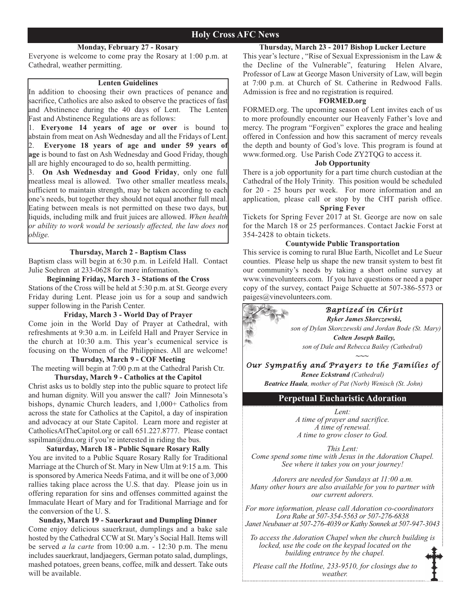#### **Holy Cross AFC News**

#### **Monday, February 27 - Rosary**

Everyone is welcome to come pray the Rosary at 1:00 p.m. at Cathedral, weather permitting.

#### **Lenten Guidelines**

In addition to choosing their own practices of penance and sacrifice, Catholics are also asked to observe the practices of fast and Abstinence during the 40 days of Lent. The Lenten Fast and Abstinence Regulations are as follows:

1. **Everyone 14 years of age or over** is bound to abstain from meat on Ash Wednesday and all the Fridays of Lent. 2. **Everyone 18 years of age and under 59 years of age** is bound to fast on Ash Wednesday and Good Friday, though all are highly encouraged to do so, health permitting.

3. **On Ash Wednesday and Good Friday**, only one full meatless meal is allowed. Two other smaller meatless meals, sufficient to maintain strength, may be taken according to each one's needs, but together they should not equal another full meal. Eating between meals is not permitted on these two days, but liquids, including milk and fruit juices are allowed. *When health or ability to work would be seriously affected, the law does not oblige.*

#### **Thursday, March 2 - Baptism Class**

Baptism class will begin at 6:30 p.m. in Leifeld Hall. Contact Julie Soehren at 233-0628 for more information.

#### **Beginning Friday, March 3 - Stations of the Cross**

Stations of the Cross will be held at 5:30 p.m. at St. George every Friday during Lent. Please join us for a soup and sandwich supper following in the Parish Center.

#### **Friday, March 3 - World Day of Prayer**

Come join in the World Day of Prayer at Cathedral, with refreshments at 9:30 a.m. in Leifeld Hall and Prayer Service in the church at 10:30 a.m. This year's ecumenical service is focusing on the Women of the Philippines. All are welcome!

#### **Thursday, March 9 - COF Meeting**

The meeting will begin at 7:00 p.m at the Cathedral Parish Ctr.

#### **Thursday, March 9 - Catholics at the Capitol**

Christ asks us to boldly step into the public square to protect life and human dignity. Will you answer the call? Join Minnesota's bishops, dynamic Church leaders, and 1,000+ Catholics from across the state for Catholics at the Capitol, a day of inspiration and advocacy at our State Capitol. Learn more and register at CatholicsAtTheCapitol.org or call 651.227.8777. Please contact sspilman@dnu.org if you're interested in riding the bus.

#### **Saturday, March 18 - Public Square Rosary Rally**

You are invited to a Public Square Rosary Rally for Traditional Marriage at the Church of St. Mary in New Ulm at 9:15 a.m. This is sponsored by America Needs Fatima, and it will be one of 3,000 rallies taking place across the U.S. that day. Please join us in offering reparation for sins and offenses committed against the Immaculate Heart of Mary and for Traditional Marriage and for the conversion of the U. S.

#### **Sunday, March 19 - Sauerkraut and Dumpling Dinner**

Come enjoy delicious sauerkraut, dumplings and a bake sale hosted by the Cathedral CCW at St. Mary's Social Hall. Items will be served *a la carte* from 10:00 a.m. - 12:30 p.m. The menu includes sauerkraut, landjaegers, German potato salad, dumplings, mashed potatoes, green beans, coffee, milk and dessert. Take outs will be available.

#### **Thursday, March 23 - 2017 Bishop Lucker Lecture**

This year's lecture , "Rise of Sexual Expressionism in the Law & the Decline of the Vulnerable", featuring Helen Alvare, Professor of Law at George Mason University of Law, will begin at 7:00 p.m. at Church of St. Catherine in Redwood Falls. Admission is free and no registration is required.

#### **FORMED.org**

FORMED.org. The upcoming season of Lent invites each of us to more profoundly encounter our Heavenly Father's love and mercy. The program "Forgiven" explores the grace and healing offered in Confession and how this sacrament of mercy reveals the depth and bounty of God's love. This program is found at www.formed.org. Use Parish Code ZY2TQG to access it.

#### **Job Opportunity**

There is a job opportunity for a part time church custodian at the Cathedral of the Holy Trinity. This position would be scheduled for 20 - 25 hours per week. For more information and an application, please call or stop by the CHT parish office.

#### **Spring Fever**

Tickets for Spring Fever 2017 at St. George are now on sale for the March 18 or 25 performances. Contact Jackie Forst at 354-2428 to obtain tickets.

#### **Countywide Public Transportation**

This service is coming to rural Blue Earth, Nicollet and Le Sueur counties. Please help us shape the new transit system to best fit our community's needs by taking a short online survey at www.vinevolunteers.com. If you have questions or need a paper copy of the survey, contact Paige Schuette at 507-386-5573 or paiges@vinevolunteers.com.



*Lent:* 

*A time of prayer and sacrifice. A time of renewal. A time to grow closer to God.*

*This Lent: Come spend some time with Jesus in the Adoration Chapel. See where it takes you on your journey!*

*Adorers are needed for Sundays at 11:00 a.m. Many other hours are also available for you to partner with our current adorers.*

*For more information, please call Adoration co-coordinators Lora Rahe at 507-354-5563 or 507-276-6838 Janet Neubauer at 507-276-4039 or Kathy Sonnek at 507-947-3043*

*To access the Adoration Chapel when the church building is locked, use the code on the keypad located on the building entrance by the chapel.* 

*Please call the Hotline, 233-9510, for closings due to weather.*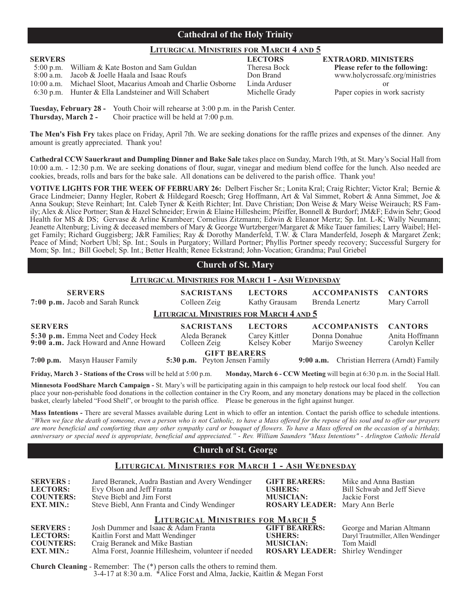#### **Cathedral of the Holy Trinity**

#### **LITURGICAL MINISTRIES FOR MARCH 4 AND 5**

| <b>SERVERS</b> |                                                              | <b>LECTORS</b> | <b>EXTRAORD. MINISTERS</b>        |
|----------------|--------------------------------------------------------------|----------------|-----------------------------------|
|                | 5:00 p.m. William & Kate Boston and Sam Guldan               | Theresa Bock   | <b>Please refer to the follow</b> |
|                | 8:00 a.m. Jacob & Joelle Haala and Isaac Roufs               | Don Brand      | www.holycrossafc.org/mi           |
|                | 10:00 a.m. Michael Sloot, Macarius Amoah and Charlie Osborne | Linda Arduser  |                                   |
|                | $6:30$ p.m. Hunter & Ella Landsteiner and Will Schabert      | Michelle Grady | Paper copies in work sacr         |

Theresa Bock<br> **5:00 p.m. Please refer to the following:**<br>  $\frac{1}{2}$  www.holycrossafc.org/ministri www.holycrossafc.org/ministries Michelle Grady Paper copies in work sacristy

**Tuesday, February 28 -** Youth Choir will rehearse at 3:00 p.m. in the Parish Center. **Thursday, March 2 -** Choir practice will be held at 7:00 p.m.

**The Men's Fish Fry** takes place on Friday, April 7th. We are seeking donations for the raffle prizes and expenses of the dinner. Any amount is greatly appreciated. Thank you!

**Cathedral CCW Sauerkraut and Dumpling Dinner and Bake Sale** takes place on Sunday, March 19th, at St. Mary's Social Hall from 10:00 a.m. - 12:30 p.m. We are seeking donations of flour, sugar, vinegar and medium blend coffee for the lunch. Also needed are cookies, breads, rolls and bars for the bake sale. All donations can be delivered to the parish office. Thank you!

**VOTIVE LIGHTS FOR THE WEEK OF FEBRUARY 26:** Delbert Fischer Sr.; Lonita Kral; Craig Richter; Victor Kral; Bernie & Grace Lindmeier; Danny Hegler, Robert & Hildegard Roesch; Greg Hoffmann, Art & Val Simmet, Robert & Anna Simmet, Joe & Anna Soukup; Steve Reinhart; Int. Caleb Tyner & Keith Richter; Int. Dave Christian; Don Weise & Mary Weise Weirauch; RS Family; Alex & Alice Portner; Stan & Hazel Schneider; Erwin & Elaine Hillesheim; Pfeiffer, Bonnell & Burdorf; JM&F; Edwin Sehr; Good Health for MS & DS; Gervase & Arline Krambeer; Cornelius Zitzmann; Edwin & Eleanor Mertz; Sp. Int. L-K; Wally Neumann; Jeanette Altenburg; Living & deceased members of Mary & George Wurtzberger/Margaret & Mike Tauer families; Larry Waibel; Helget Family; Richard Guggisberg; J&R Families; Ray & Dorothy Manderfeld, T.W. & Clara Manderfeld, Joseph & Margaret Zenk; Peace of Mind; Norbert Ubl; Sp. Int.; Souls in Purgatory; Willard Portner; Phyllis Portner speedy recovery; Successful Surgery for Mom; Sp. Int.; Bill Goebel; Sp. Int.; Better Health; Renee Eckstrand; John-Vocation; Grandma; Paul Griebel

| <b>Church of St. Mary</b>                                                                                                                                      |                                                |                                 |                                       |                                  |
|----------------------------------------------------------------------------------------------------------------------------------------------------------------|------------------------------------------------|---------------------------------|---------------------------------------|----------------------------------|
| <b>LITURGICAL MINISTRIES FOR MARCH 1 - ASH WEDNESDAY</b>                                                                                                       |                                                |                                 |                                       |                                  |
| <b>SERVERS</b><br>7:00 p.m. Jacob and Sarah Runck                                                                                                              | <b>SACRISTANS</b><br>Colleen Zeig              | <b>LECTORS</b><br>Kathy Grausam | <b>ACCOMPANISTS</b><br>Brenda Lenertz | <b>CANTORS</b><br>Mary Carroll   |
|                                                                                                                                                                | <b>LITURGICAL MINISTRIES FOR MARCH 4 AND 5</b> |                                 |                                       |                                  |
| <b>SERVERS</b>                                                                                                                                                 | <b>SACRISTANS</b>                              | <b>LECTORS</b>                  | <b>ACCOMPANISTS</b>                   | <b>CANTORS</b>                   |
| 5:30 p.m. Emma Neet and Codey Heck<br>9:00 a.m. Jack Howard and Anne Howard                                                                                    | Aleda Beranek<br>Colleen Zeig                  | Carey Kittler<br>Kelsey Kober   | Donna Donahue<br>Marijo Sweeney       | Anita Hoffmann<br>Carolyn Keller |
| <b>GIFT BEARERS</b><br>Christian Herrera (Arndt) Family<br>Masyn Hauser Family<br>5:30 p.m. Peyton Jensen Family<br>$7:00$ p.m.<br>$9:00$ a.m.                 |                                                |                                 |                                       |                                  |
| <b>Friday, March 3 - Stations of the Cross</b> will be held at 5:00 p.m.<br><b>Monday, March 6 - CCW Meeting</b> will begin at $6:30$ p.m. in the Social Hall. |                                                |                                 |                                       |                                  |

**Minnesota FoodShare March Campaign -** St. Mary's will be participating again in this campaign to help restock our local food shelf. You can place your non-perishable food donations in the collection container in the Cry Room, and any monetary donations may be placed in the collection basket, clearly labeled "Food Shelf", or brought to the parish office. Please be generous in the fight against hunger.

**Mass Intentions -** There are several Masses available during Lent in which to offer an intention. Contact the parish office to schedule intentions. *"When we face the death of someone, even a person who is not Catholic, to have a Mass offered for the repose of his soul and to offer our prayers are more beneficial and comforting than any other sympathy card or bouquet of flowers. To have a Mass offered on the occasion of a birthday, anniversary or special need is appropriate, beneficial and appreciated."* - *Rev. William Saunders "Mass Intentions" - Arlington Catholic Herald*

### **Church of St. George**

#### **LITURGICAL MINISTRIES FOR MARCH 1 - ASH WEDNESDAY**

| <b>SERVERS:</b><br><b>LECTORS:</b><br><b>COUNTERS:</b><br><b>EXT. MIN.:</b> | Jared Beranek, Audra Bastian and Avery Wendinger<br>Evy Olson and Jeff Franta<br>Steve Biebl and Jim Forst<br>Steve Biebl, Ann Franta and Cindy Wendinger                                                    | <b>GIFT BEARERS:</b><br><b>USHERS:</b><br><b>MUSICIAN:</b><br><b>ROSARY LEADER:</b> Mary Ann Berle    | Mike and Anna Bastian<br>Bill Schwab and Jeff Sieve<br>Jackie Forst          |
|-----------------------------------------------------------------------------|--------------------------------------------------------------------------------------------------------------------------------------------------------------------------------------------------------------|-------------------------------------------------------------------------------------------------------|------------------------------------------------------------------------------|
| <b>SERVERS:</b><br><b>LECTORS:</b><br><b>COUNTERS:</b><br><b>EXT. MIN.:</b> | <b>LITURGICAL MINISTRIES FOR MARCH 5</b><br>Josh Dummer and Isaac & Adam Franta<br>Kaitlin Forst and Matt Wendinger<br>Craig Beranek and Mike Bastian<br>Alma Forst, Joannie Hillesheim, volunteer if needed | <b>GIFT BEARERS:</b><br><b>USHERS:</b><br><b>MUSICIAN:</b><br><b>ROSARY LEADER:</b> Shirley Wendinger | George and Marian Altmann<br>Daryl Trautmiller, Allen Wendinger<br>Tom Maidl |

**Church Cleaning** - Remember: The (\*) person calls the others to remind them. 3-4-17 at 8:30 a.m. \*Alice Forst and Alma, Jackie, Kaitlin & Megan Forst